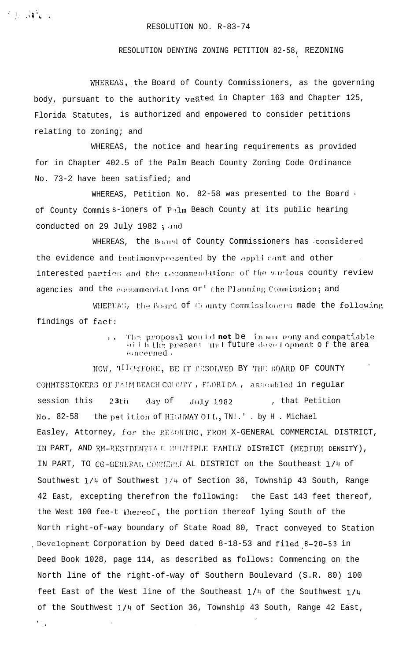## RESOLUTION NO. R-83-74

## RESOLUTION DENYING ZONING PETITION 82-58, REZONING

WHEREAS, the Board of County Commissioners, as the governing body, pursuant to the authority vegted in Chapter 163 and Chapter 125, Florida Statutes, is authorized and empowered to consider petitions relating to zoning; and

WHEREAS, the notice and hearing requirements as provided for in Chapter 402.5 of the Palm Beach County Zoning Code Ordinance No. 73-2 have been satisfied; and

WHEREAS, Petition No. 82-58 was presented to the Board. of County Commiss-ioners of Palm Beach County at its public hearing conducted on 29 July 1982; and

WHEREAS, the Board of County Commissioners has considered the evidence and testimony presented by the applicant and other interested parties and the r,ecommendations of the various county review agencies and the personmendations or the Planning Commission; and

WHEREAS, the Board of County Commissioners made the following findings of fact:

> The proposal would not be in mine mony and compatiable  $\mathbf{I}$ , will h the present and future development of the area oncerned.

NOW, TILESCRORE, BE IT RESOLVED BY THE BOARD OF COUNTY COMMISSIONERS OF PAIM BEACH COUNTY, FLORIDA, assembled in regular session this day of , that Petition  $23th$ July 1982 the pet ition of HIGHWAY OIL, TN!.' . by H . Michael  $No. 82-58$ Easley, Attorney, for the REZOMING, FROM X-GENERAL COMMERCIAL DISTRICT, IN PART, AND RM-RESIDENTIA & MULTIPLE FAMILY DISTRICT (MEDIUM DENSITY), IN PART, TO CG-GENERAL COUNCROL AL DISTRICT on the Southeast 1/4 of Southwest 1/4 of Southwest 1/4 of Section 36, Township 43 South, Range 42 East, excepting therefrom the following: the East 143 feet thereof, the West 100 fee-t thereof, the portion thereof lying South of the North right-of-way boundary of State Road 80, Tract conveyed to Station Development Corporation by Deed dated 8-18-53 and filed 8-20-53 in Deed Book 1028, page 114, as described as follows: Commencing on the North line of the right-of-way of Southern Boulevard (S.R. 80) 100 feet East of the West line of the Southeast 1/4 of the Southwest 1/4 of the Southwest 1/4 of Section 36, Township 43 South, Range 42 East,

 $\sum_{i=1}^{n}$